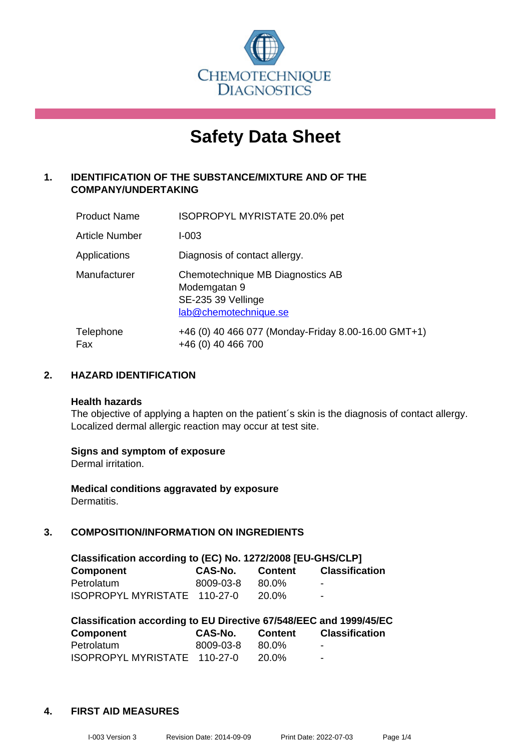

# **Safety Data Sheet**

## **1. IDENTIFICATION OF THE SUBSTANCE/MIXTURE AND OF THE COMPANY/UNDERTAKING**

| <b>Product Name</b>   | ISOPROPYL MYRISTATE 20.0% pet                                                                   |
|-----------------------|-------------------------------------------------------------------------------------------------|
| <b>Article Number</b> | I-003                                                                                           |
| Applications          | Diagnosis of contact allergy.                                                                   |
| Manufacturer          | Chemotechnique MB Diagnostics AB<br>Modemgatan 9<br>SE-235 39 Vellinge<br>lab@chemotechnique.se |
| Telephone<br>Fax      | +46 (0) 40 466 077 (Monday-Friday 8.00-16.00 GMT+1)<br>+46 (0) 40 466 700                       |

## **2. HAZARD IDENTIFICATION**

#### **Health hazards**

The objective of applying a hapten on the patient's skin is the diagnosis of contact allergy. Localized dermal allergic reaction may occur at test site.

## **Signs and symptom of exposure**

Dermal irritation.

**Medical conditions aggravated by exposure** Dermatitis.

## **3. COMPOSITION/INFORMATION ON INGREDIENTS**

| Classification according to (EC) No. 1272/2008 [EU-GHS/CLP] |           |              |                          |  |  |
|-------------------------------------------------------------|-----------|--------------|--------------------------|--|--|
| <b>Component</b>                                            | CAS-No.   | Content      | <b>Classification</b>    |  |  |
| Petrolatum                                                  | 8009-03-8 | 80.0%        | $\blacksquare$           |  |  |
| ISOPROPYL MYRISTATE 110-27-0                                |           | <b>20.0%</b> | $\overline{\phantom{a}}$ |  |  |

| Classification according to EU Directive 67/548/EEC and 1999/45/EC |           |                |                       |  |  |
|--------------------------------------------------------------------|-----------|----------------|-----------------------|--|--|
| Component                                                          | CAS-No.   | <b>Content</b> | <b>Classification</b> |  |  |
| Petrolatum                                                         | 8009-03-8 | 80.0%          | $\blacksquare$        |  |  |
| ISOPROPYL MYRISTATE 110-27-0                                       |           | 20.0%          | -                     |  |  |

## **4. FIRST AID MEASURES**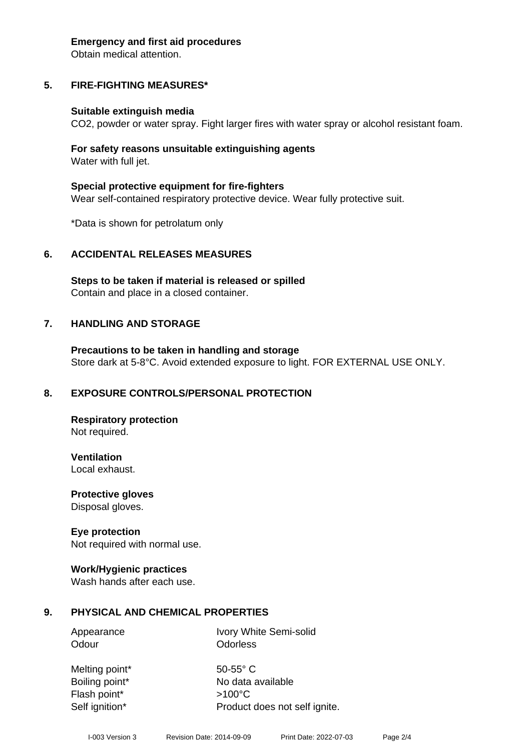#### **Emergency and first aid procedures**

Obtain medical attention.

# **5. FIRE-FIGHTING MEASURES\***

## **Suitable extinguish media**

CO2, powder or water spray. Fight larger fires with water spray or alcohol resistant foam.

## **For safety reasons unsuitable extinguishing agents** Water with full jet.

**Special protective equipment for fire-fighters** Wear self-contained respiratory protective device. Wear fully protective suit.

\*Data is shown for petrolatum only

# **6. ACCIDENTAL RELEASES MEASURES**

**Steps to be taken if material is released or spilled** Contain and place in a closed container.

# **7. HANDLING AND STORAGE**

**Precautions to be taken in handling and storage** Store dark at 5-8°C. Avoid extended exposure to light. FOR EXTERNAL USE ONLY.

# **8. EXPOSURE CONTROLS/PERSONAL PROTECTION**

**Respiratory protection** Not required.

**Ventilation** Local exhaust.

**Protective gloves** Disposal gloves.

# **Eye protection**

Not required with normal use.

## **Work/Hygienic practices**

Wash hands after each use.

# **9. PHYSICAL AND CHEMICAL PROPERTIES**

Appearance Ivory White Semi-solid Odour **Odorless** 

Melting point\* 50-55° C Flash point\* >100°C

Boiling point\* No data available Self ignition\* Product does not self ignite.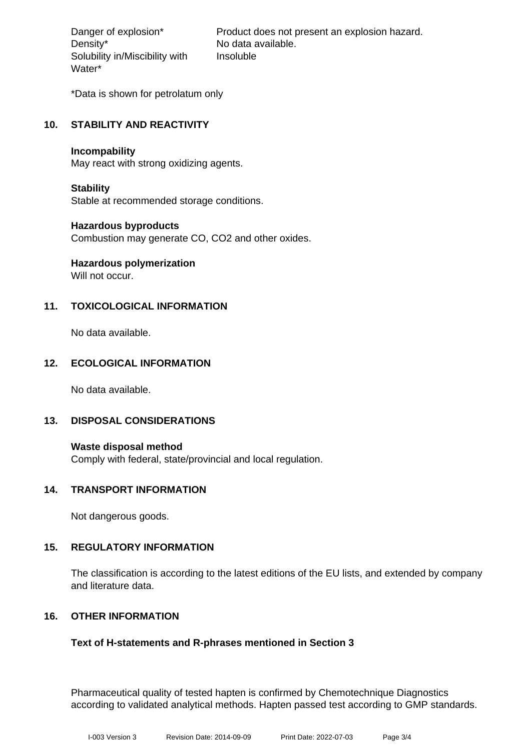Density\* No data available. Solubility in/Miscibility with Water\*

Danger of explosion\* Product does not present an explosion hazard. Insoluble

\*Data is shown for petrolatum only

## **10. STABILITY AND REACTIVITY**

#### **Incompability**

May react with strong oxidizing agents.

## **Stability**

Stable at recommended storage conditions.

## **Hazardous byproducts**

Combustion may generate CO, CO2 and other oxides.

# **Hazardous polymerization**

Will not occur.

## **11. TOXICOLOGICAL INFORMATION**

No data available.

## **12. ECOLOGICAL INFORMATION**

No data available.

## **13. DISPOSAL CONSIDERATIONS**

**Waste disposal method** Comply with federal, state/provincial and local regulation.

## **14. TRANSPORT INFORMATION**

Not dangerous goods.

## **15. REGULATORY INFORMATION**

The classification is according to the latest editions of the EU lists, and extended by company and literature data.

## **16. OTHER INFORMATION**

## **Text of H-statements and R-phrases mentioned in Section 3**

Pharmaceutical quality of tested hapten is confirmed by Chemotechnique Diagnostics according to validated analytical methods. Hapten passed test according to GMP standards.